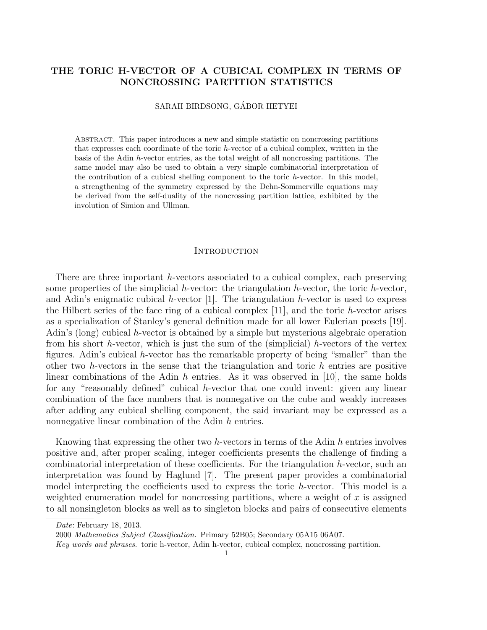## THE TORIC H-VECTOR OF A CUBICAL COMPLEX IN TERMS OF NONCROSSING PARTITION STATISTICS

SARAH BIRDSONG, GÁBOR HETYEI

Abstract. This paper introduces a new and simple statistic on noncrossing partitions that expresses each coordinate of the toric h-vector of a cubical complex, written in the basis of the Adin h-vector entries, as the total weight of all noncrossing partitions. The same model may also be used to obtain a very simple combinatorial interpretation of the contribution of a cubical shelling component to the toric h-vector. In this model, a strengthening of the symmetry expressed by the Dehn-Sommerville equations may be derived from the self-duality of the noncrossing partition lattice, exhibited by the involution of Simion and Ullman.

#### **INTRODUCTION**

There are three important h-vectors associated to a cubical complex, each preserving some properties of the simplicial h-vector: the triangulation h-vector, the toric h-vector, and Adin's enigmatic cubical h-vector  $[1]$ . The triangulation h-vector is used to express the Hilbert series of the face ring of a cubical complex  $[11]$ , and the toric h-vector arises as a specialization of Stanley's general definition made for all lower Eulerian posets [19]. Adin's (long) cubical h-vector is obtained by a simple but mysterious algebraic operation from his short h-vector, which is just the sum of the (simplicial) h-vectors of the vertex figures. Adin's cubical h-vector has the remarkable property of being "smaller" than the other two h-vectors in the sense that the triangulation and toric  $h$  entries are positive linear combinations of the Adin  $h$  entries. As it was observed in [10], the same holds for any "reasonably defined" cubical  $h$ -vector that one could invent: given any linear combination of the face numbers that is nonnegative on the cube and weakly increases after adding any cubical shelling component, the said invariant may be expressed as a nonnegative linear combination of the Adin h entries.

Knowing that expressing the other two h-vectors in terms of the Adin  $h$  entries involves positive and, after proper scaling, integer coefficients presents the challenge of finding a combinatorial interpretation of these coefficients. For the triangulation h-vector, such an interpretation was found by Haglund [7]. The present paper provides a combinatorial model interpreting the coefficients used to express the toric h-vector. This model is a weighted enumeration model for noncrossing partitions, where a weight of  $x$  is assigned to all nonsingleton blocks as well as to singleton blocks and pairs of consecutive elements

Date: February 18, 2013.

<sup>2000</sup> Mathematics Subject Classification. Primary 52B05; Secondary 05A15 06A07.

Key words and phrases. toric h-vector, Adin h-vector, cubical complex, noncrossing partition.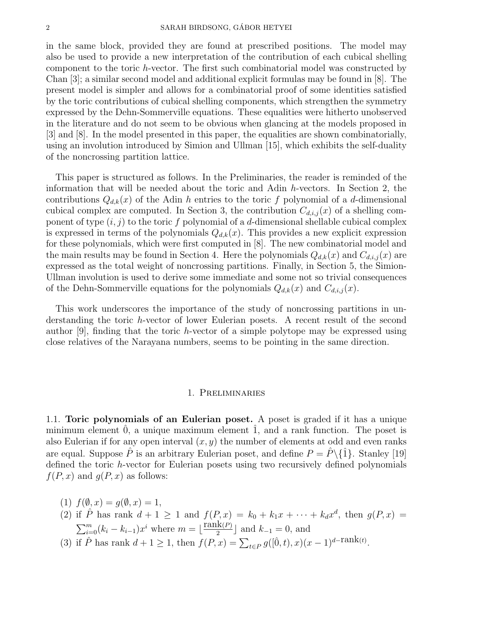in the same block, provided they are found at prescribed positions. The model may also be used to provide a new interpretation of the contribution of each cubical shelling component to the toric h-vector. The first such combinatorial model was constructed by Chan [3]; a similar second model and additional explicit formulas may be found in [8]. The present model is simpler and allows for a combinatorial proof of some identities satisfied by the toric contributions of cubical shelling components, which strengthen the symmetry expressed by the Dehn-Sommerville equations. These equalities were hitherto unobserved in the literature and do not seem to be obvious when glancing at the models proposed in [3] and [8]. In the model presented in this paper, the equalities are shown combinatorially, using an involution introduced by Simion and Ullman [15], which exhibits the self-duality of the noncrossing partition lattice.

This paper is structured as follows. In the Preliminaries, the reader is reminded of the information that will be needed about the toric and Adin h-vectors. In Section 2, the contributions  $Q_{d,k}(x)$  of the Adin h entries to the toric f polynomial of a d-dimensional cubical complex are computed. In Section 3, the contribution  $C_{d,i,j}(x)$  of a shelling component of type  $(i, j)$  to the toric f polynomial of a d-dimensional shellable cubical complex is expressed in terms of the polynomials  $Q_{d,k}(x)$ . This provides a new explicit expression for these polynomials, which were first computed in [8]. The new combinatorial model and the main results may be found in Section 4. Here the polynomials  $Q_{d,k}(x)$  and  $C_{d,i,j}(x)$  are expressed as the total weight of noncrossing partitions. Finally, in Section 5, the Simion-Ullman involution is used to derive some immediate and some not so trivial consequences of the Dehn-Sommerville equations for the polynomials  $Q_{d,k}(x)$  and  $C_{d,i,j}(x)$ .

This work underscores the importance of the study of noncrossing partitions in understanding the toric h-vector of lower Eulerian posets. A recent result of the second author [9], finding that the toric h-vector of a simple polytope may be expressed using close relatives of the Narayana numbers, seems to be pointing in the same direction.

### 1. Preliminaries

1.1. Toric polynomials of an Eulerian poset. A poset is graded if it has a unique minimum element  $\hat{0}$ , a unique maximum element  $\hat{1}$ , and a rank function. The poset is also Eulerian if for any open interval  $(x, y)$  the number of elements at odd and even ranks are equal. Suppose  $\hat{P}$  is an arbitrary Eulerian poset, and define  $P = \hat{P}\setminus\{\hat{1}\}\.$  Stanley [19] defined the toric h-vector for Eulerian posets using two recursively defined polynomials  $f(P, x)$  and  $g(P, x)$  as follows:

- (1)  $f(\emptyset, x) = g(\emptyset, x) = 1$ ,
- (2) if  $\hat{P}$  has rank  $d+1 \geq 1$  and  $f(P,x) = k_0 + k_1x + \cdots + k_dx^d$ , then  $g(P,x) =$  $\sum_{i=0}^{m} (k_i - k_{i-1}) x^i$  where  $m = \lfloor \frac{\text{rank}(P)}{2} \rfloor$  $\frac{d\mathbf{k}(P)}{2}$  and  $k_{-1} = 0$ , and (3) if  $\hat{P}$  has rank  $d+1 \geq 1$ , then  $f(P, x) = \sum_{t \in P} g([\hat{0}, t), x)(x-1)^{d-\text{rank}(t)}$ .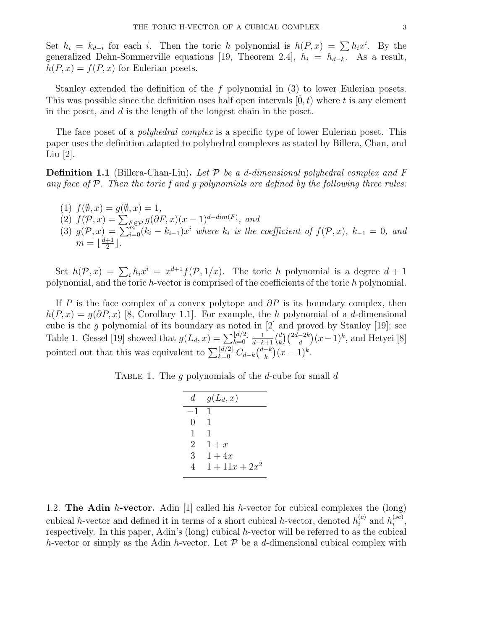Set  $h_i = k_{d-i}$  for each i. Then the toric h polynomial is  $h(P, x) = \sum h_i x^i$ . By the generalized Dehn-Sommerville equations [19, Theorem 2.4],  $h_i = h_{d-k}$ . As a result,  $h(P, x) = f(P, x)$  for Eulerian posets.

Stanley extended the definition of the f polynomial in (3) to lower Eulerian posets. This was possible since the definition uses half open intervals  $[0, t)$  where t is any element in the poset, and d is the length of the longest chain in the poset.

The face poset of a *polyhedral complex* is a specific type of lower Eulerian poset. This paper uses the definition adapted to polyhedral complexes as stated by Billera, Chan, and Liu [2].

**Definition 1.1** (Billera-Chan-Liu). Let  $\mathcal P$  be a d-dimensional polyhedral complex and  $F$ any face of  $P$ . Then the toric f and q polynomials are defined by the following three rules:

(1)  $f(\emptyset, x) = q(\emptyset, x) = 1$ , (2)  $f(\mathcal{P}, x) = \sum_{F \in \mathcal{P}} g(\partial F, x)(x - 1)^{d - dim(F)},$  and (3)  $g(\mathcal{P},x) = \sum_{i=0}^{m} (k_i - k_{i-1}) x^i$  where  $k_i$  is the coefficient of  $f(\mathcal{P},x)$ ,  $k_{-1} = 0$ , and  $m = \left\lfloor \frac{d+1}{2} \right\rfloor$  $\frac{+1}{2}$ .

Set  $h(\mathcal{P}, x) = \sum_i h_i x^i = x^{d+1} f(\mathcal{P}, 1/x)$ . The toric h polynomial is a degree  $d+1$ polynomial, and the toric h-vector is comprised of the coefficients of the toric h polynomial.

If P is the face complex of a convex polytope and  $\partial P$  is its boundary complex, then  $h(P, x) = g(\partial P, x)$  [8, Corollary 1.1]. For example, the h polynomial of a d-dimensional cube is the g polynomial of its boundary as noted in  $[2]$  and proved by Stanley  $[19]$ ; see Table 1. Gessel [19] showed that  $g(L_d, x) = \sum_{k=0}^{\lfloor d/2 \rfloor}$  $\frac{1}{d-k+1} \binom{d}{k}$  $\binom{d}{k} \binom{2d-2k}{d}(x-1)^k$ , and Hetyei [8] pointed out that this was equivalent to  $\sum_{k=0}^{\lfloor d/2 \rfloor} C_{d-k} \binom{d-k}{k}$  ${k \choose k} (x-1)^k$ .

TABLE 1. The q polynomials of the d-cube for small  $d$ 

| d.       | $g(L_d,x)$       |
|----------|------------------|
|          | 1                |
| $^{(1)}$ | 1                |
| 1        | 1                |
| 2        | $1+x$            |
| 3        | $1+4x$           |
| Δ        | $1 + 11x + 2x^2$ |

1.2. The Adin h-vector. Adin [1] called his h-vector for cubical complexes the  $long)$ cubical h-vector and defined it in terms of a short cubical h-vector, denoted  $h_i^{(c)}$  $i^{(c)}$  and  $h_i^{(sc)}$  $\binom{sc}{i}$ respectively. In this paper, Adin's (long) cubical h-vector will be referred to as the cubical h-vector or simply as the Adin h-vector. Let  $\mathcal P$  be a d-dimensional cubical complex with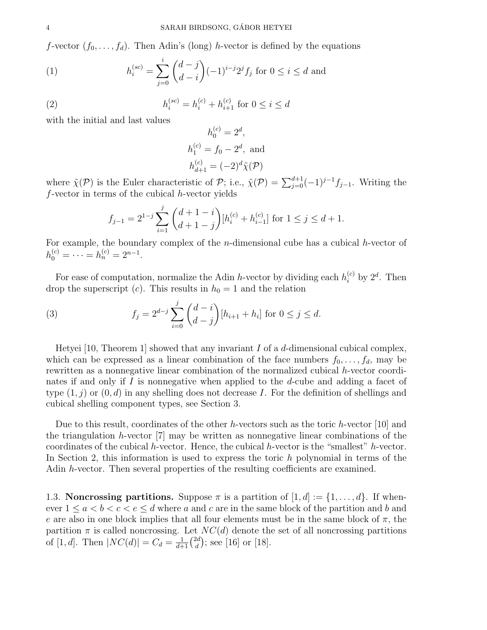f-vector  $(f_0, \ldots, f_d)$ . Then Adin's (long) h-vector is defined by the equations

(1) 
$$
h_i^{(sc)} = \sum_{j=0}^i {d-j \choose d-i} (-1)^{i-j} 2^j f_j \text{ for } 0 \le i \le d \text{ and}
$$

(2) 
$$
h_i^{(sc)} = h_i^{(c)} + h_{i+1}^{(c)} \text{ for } 0 \le i \le d
$$

with the initial and last values

$$
h_0^{(c)} = 2^d,
$$
  
\n
$$
h_1^{(c)} = f_0 - 2^d, \text{ and}
$$
  
\n
$$
h_{d+1}^{(c)} = (-2)^d \tilde{\chi}(\mathcal{P})
$$

where  $\tilde{\chi}(\mathcal{P})$  is the Euler characteristic of  $\mathcal{P}$ ; i.e.,  $\tilde{\chi}(\mathcal{P}) = \sum_{j=0}^{d+1} (-1)^{j-1} f_{j-1}$ . Writing the  $f$ -vector in terms of the cubical  $h$ -vector yields

$$
f_{j-1} = 2^{1-j} \sum_{i=1}^{j} {d+1-i \choose d+1-j} [h_i^{(c)} + h_{i-1}^{(c)}] \text{ for } 1 \le j \le d+1.
$$

For example, the boundary complex of the n-dimensional cube has a cubical h-vector of  $h_0^{(c)} = \cdots = h_n^{(c)} = 2^{n-1}.$ 

For ease of computation, normalize the Adin h-vector by dividing each  $h_i^{(c)}$  by  $2^d$ . Then drop the superscript (c). This results in  $h_0 = 1$  and the relation

(3) 
$$
f_j = 2^{d-j} \sum_{i=0}^j {d-i \choose d-j} [h_{i+1} + h_i] \text{ for } 0 \le j \le d.
$$

Hetyei [10, Theorem 1] showed that any invariant  $I$  of a  $d$ -dimensional cubical complex, which can be expressed as a linear combination of the face numbers  $f_0, \ldots, f_d$ , may be rewritten as a nonnegative linear combination of the normalized cubical h-vector coordinates if and only if I is nonnegative when applied to the d-cube and adding a facet of type  $(1, j)$  or  $(0, d)$  in any shelling does not decrease I. For the definition of shellings and cubical shelling component types, see Section 3.

Due to this result, coordinates of the other h-vectors such as the toric h-vector [10] and the triangulation h-vector  $[7]$  may be written as nonnegative linear combinations of the coordinates of the cubical h-vector. Hence, the cubical h-vector is the "smallest" h-vector. In Section 2, this information is used to express the toric h polynomial in terms of the Adin h-vector. Then several properties of the resulting coefficients are examined.

1.3. Noncrossing partitions. Suppose  $\pi$  is a partition of  $[1, d] := \{1, \ldots, d\}$ . If whenever  $1 \le a < b < c < e \le d$  where a and c are in the same block of the partition and b and e are also in one block implies that all four elements must be in the same block of  $\pi$ , the partition  $\pi$  is called noncrossing. Let  $NC(d)$  denote the set of all noncrossing partitions of [1, *d*]. Then  $|NC(d)| = C_d = \frac{1}{d+1} \binom{2d}{d}$  $\binom{2d}{d}$ ; see [16] or [18].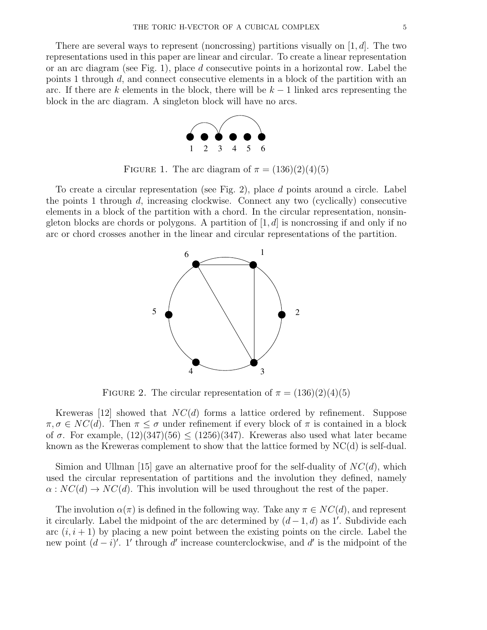There are several ways to represent (noncrossing) partitions visually on  $[1, d]$ . The two representations used in this paper are linear and circular. To create a linear representation or an arc diagram (see Fig. 1), place d consecutive points in a horizontal row. Label the points 1 through d, and connect consecutive elements in a block of the partition with an arc. If there are k elements in the block, there will be  $k-1$  linked arcs representing the block in the arc diagram. A singleton block will have no arcs.



FIGURE 1. The arc diagram of  $\pi = (136)(2)(4)(5)$ 

To create a circular representation (see Fig. 2), place d points around a circle. Label the points 1 through d, increasing clockwise. Connect any two (cyclically) consecutive elements in a block of the partition with a chord. In the circular representation, nonsingleton blocks are chords or polygons. A partition of  $[1, d]$  is noncrossing if and only if no arc or chord crosses another in the linear and circular representations of the partition.



FIGURE 2. The circular representation of  $\pi = (136)(2)(4)(5)$ 

Kreweras [12] showed that  $NC(d)$  forms a lattice ordered by refinement. Suppose  $\pi, \sigma \in NC(d)$ . Then  $\pi \leq \sigma$  under refinement if every block of  $\pi$  is contained in a block of  $\sigma$ . For example,  $(12)(347)(56) \le (1256)(347)$ . Kreweras also used what later became known as the Kreweras complement to show that the lattice formed by NC(d) is self-dual.

Simion and Ullman [15] gave an alternative proof for the self-duality of  $NC(d)$ , which used the circular representation of partitions and the involution they defined, namely  $\alpha: NC(d) \to NC(d)$ . This involution will be used throughout the rest of the paper.

The involution  $\alpha(\pi)$  is defined in the following way. Take any  $\pi \in NC(d)$ , and represent it circularly. Label the midpoint of the arc determined by  $(d-1, d)$  as 1'. Subdivide each arc  $(i, i + 1)$  by placing a new point between the existing points on the circle. Label the new point  $(d - i)'$ . 1' through d' increase counterclockwise, and d' is the midpoint of the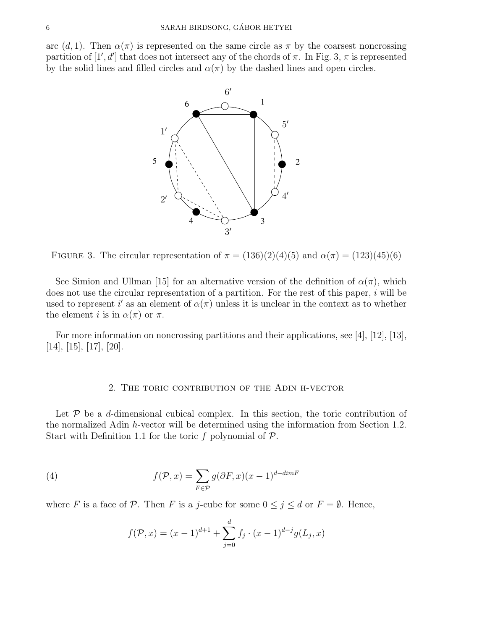arc  $(d, 1)$ . Then  $\alpha(\pi)$  is represented on the same circle as  $\pi$  by the coarsest noncrossing partition of  $[1', d']$  that does not intersect any of the chords of  $\pi$ . In Fig. 3,  $\pi$  is represented by the solid lines and filled circles and  $\alpha(\pi)$  by the dashed lines and open circles.



FIGURE 3. The circular representation of  $\pi = (136)(2)(4)(5)$  and  $\alpha(\pi) = (123)(45)(6)$ 

See Simion and Ullman [15] for an alternative version of the definition of  $\alpha(\pi)$ , which does not use the circular representation of a partition. For the rest of this paper,  $i$  will be used to represent i' as an element of  $\alpha(\pi)$  unless it is unclear in the context as to whether the element i is in  $\alpha(\pi)$  or  $\pi$ .

For more information on noncrossing partitions and their applications, see [4], [12], [13], [14], [15], [17], [20].

#### 2. The toric contribution of the Adin h-vector

Let  $P$  be a d-dimensional cubical complex. In this section, the toric contribution of the normalized Adin h-vector will be determined using the information from Section 1.2. Start with Definition 1.1 for the toric f polynomial of  $P$ .

(4) 
$$
f(\mathcal{P}, x) = \sum_{F \in \mathcal{P}} g(\partial F, x)(x - 1)^{d - dimF}
$$

where F is a face of P. Then F is a j-cube for some  $0 \le j \le d$  or  $F = \emptyset$ . Hence,

$$
f(\mathcal{P}, x) = (x - 1)^{d+1} + \sum_{j=0}^{d} f_j \cdot (x - 1)^{d-j} g(L_j, x)
$$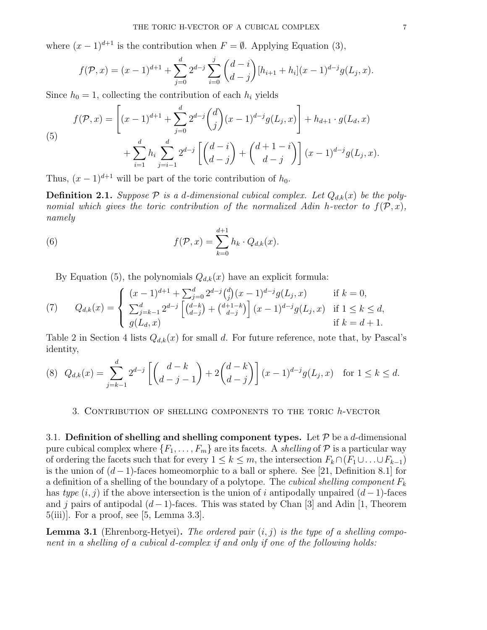where  $(x - 1)^{d+1}$  is the contribution when  $F = \emptyset$ . Applying Equation (3),

$$
f(\mathcal{P},x) = (x-1)^{d+1} + \sum_{j=0}^{d} 2^{d-j} \sum_{i=0}^{j} {d-i \choose d-j} [h_{i+1} + h_i](x-1)^{d-j} g(L_j,x).
$$

Since  $h_0 = 1$ , collecting the contribution of each  $h_i$  yields

(5)  

$$
f(\mathcal{P}, x) = \left[ (x - 1)^{d+1} + \sum_{j=0}^{d} 2^{d-j} {d \choose j} (x - 1)^{d-j} g(L_j, x) \right] + h_{d+1} \cdot g(L_d, x) + \sum_{i=1}^{d} h_i \sum_{j=i-1}^{d} 2^{d-j} \left[ {d-i \choose d-j} + {d+1-i \choose d-j} \right] (x - 1)^{d-j} g(L_j, x).
$$

Thus,  $(x - 1)^{d+1}$  will be part of the toric contribution of  $h_0$ .

**Definition 2.1.** Suppose  $P$  is a d-dimensional cubical complex. Let  $Q_{d,k}(x)$  be the polynomial which gives the toric contribution of the normalized Adin h-vector to  $f(\mathcal{P}, x)$ , namely

(6) 
$$
f(\mathcal{P},x) = \sum_{k=0}^{d+1} h_k \cdot Q_{d,k}(x).
$$

By Equation (5), the polynomials  $Q_{d,k}(x)$  have an explicit formula:

(7) 
$$
Q_{d,k}(x) = \begin{cases} (x-1)^{d+1} + \sum_{j=0}^{d} 2^{d-j} {d \choose j} (x-1)^{d-j} g(L_j, x) & \text{if } k = 0, \\ \sum_{j=k-1}^{d} 2^{d-j} \left[ {d-k \choose d-j} + {d+1-k \choose d-j} \right] (x-1)^{d-j} g(L_j, x) & \text{if } 1 \le k \le d, \\ g(L_d, x) & \text{if } k = d+1. \end{cases}
$$

Table 2 in Section 4 lists  $Q_{d,k}(x)$  for small d. For future reference, note that, by Pascal's identity,

$$
(8) \quad Q_{d,k}(x) = \sum_{j=k-1}^{d} 2^{d-j} \left[ \binom{d-k}{d-j-1} + 2\binom{d-k}{d-j} \right] (x-1)^{d-j} g(L_j, x) \quad \text{for } 1 \le k \le d.
$$

### 3. Contribution of shelling components to the toric h-vector

3.1. Definition of shelling and shelling component types. Let  $P$  be a d-dimensional pure cubical complex where  $\{F_1, \ldots, F_m\}$  are its facets. A shelling of  $P$  is a particular way of ordering the facets such that for every  $1 \leq k \leq m$ , the intersection  $F_k \cap (F_1 \cup \ldots \cup F_{k-1})$ is the union of  $(d-1)$ -faces homeomorphic to a ball or sphere. See [21, Definition 8.1] for a definition of a shelling of the boundary of a polytope. The *cubical shelling component*  $F_k$ has type  $(i, j)$  if the above intersection is the union of i antipodally unpaired  $(d - 1)$ -faces and j pairs of antipodal  $(d-1)$ -faces. This was stated by Chan [3] and Adin [1, Theorem 5(iii)]. For a proof, see [5, Lemma 3.3].

**Lemma 3.1** (Ehrenborg-Hetyei). The ordered pair  $(i, j)$  is the type of a shelling component in a shelling of a cubical d-complex if and only if one of the following holds: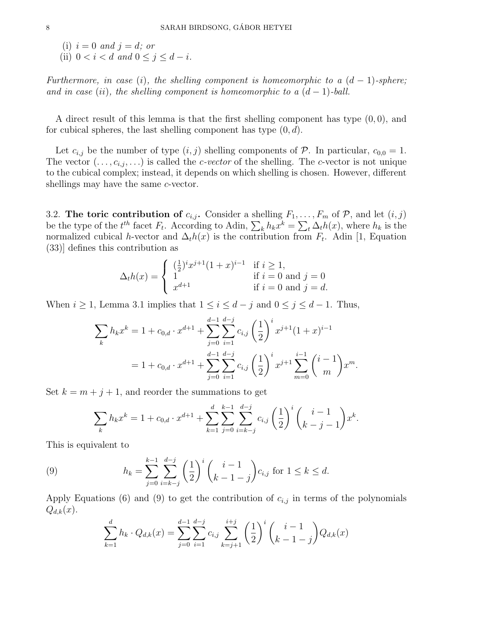(i)  $i = 0$  and  $j = d$ ; or (ii)  $0 < i < d$  and  $0 \le j \le d - i$ .

Furthermore, in case (i), the shelling component is homeomorphic to a  $(d-1)$ -sphere; and in case (ii), the shelling component is homeomorphic to a  $(d-1)$ -ball.

A direct result of this lemma is that the first shelling component has type  $(0, 0)$ , and for cubical spheres, the last shelling component has type  $(0, d)$ .

Let  $c_{i,j}$  be the number of type  $(i, j)$  shelling components of  $P$ . In particular,  $c_{0,0} = 1$ . The vector  $(\ldots, c_{i,j}, \ldots)$  is called the *c-vector* of the shelling. The *c*-vector is not unique to the cubical complex; instead, it depends on which shelling is chosen. However, different shellings may have the same *c*-vector.

3.2. The toric contribution of  $c_{i,j}$ . Consider a shelling  $F_1, \ldots, F_m$  of  $P$ , and let  $(i, j)$ be the type of the  $t^{th}$  facet  $F_t$ . According to Adin,  $\sum_k h_k x^k = \sum_t \Delta_t h(x)$ , where  $h_k$  is the normalized cubical h-vector and  $\Delta_t h(x)$  is the contribution from  $F_t$ . Adin [1, Equation (33)] defines this contribution as

$$
\Delta_t h(x) = \begin{cases}\n(\frac{1}{2})^i x^{j+1} (1+x)^{i-1} & \text{if } i \ge 1, \\
1 & \text{if } i = 0 \text{ and } j = 0 \\
x^{d+1} & \text{if } i = 0 \text{ and } j = d.\n\end{cases}
$$

When  $i \geq 1$ , Lemma 3.1 implies that  $1 \leq i \leq d-j$  and  $0 \leq j \leq d-1$ . Thus,

$$
\sum_{k} h_{k} x^{k} = 1 + c_{0,d} \cdot x^{d+1} + \sum_{j=0}^{d-1} \sum_{i=1}^{d-j} c_{i,j} \left(\frac{1}{2}\right)^{i} x^{j+1} (1+x)^{i-1}
$$
  
= 1 + c\_{0,d} \cdot x^{d+1} + \sum\_{j=0}^{d-1} \sum\_{i=1}^{d-j} c\_{i,j} \left(\frac{1}{2}\right)^{i} x^{j+1} \sum\_{m=0}^{i-1} {i-1 \choose m} x^{m}.

Set  $k = m + j + 1$ , and reorder the summations to get

$$
\sum_{k} h_{k} x^{k} = 1 + c_{0,d} \cdot x^{d+1} + \sum_{k=1}^{d} \sum_{j=0}^{k-1} \sum_{i=k-j}^{d-j} c_{i,j} \left(\frac{1}{2}\right)^{i} \binom{i-1}{k-j-1} x^{k}.
$$

This is equivalent to

(9) 
$$
h_k = \sum_{j=0}^{k-1} \sum_{i=k-j}^{d-j} \left(\frac{1}{2}\right)^i \binom{i-1}{k-1-j} c_{i,j} \text{ for } 1 \le k \le d.
$$

Apply Equations (6) and (9) to get the contribution of  $c_{i,j}$  in terms of the polynomials  $Q_{d,k}(x)$ .

$$
\sum_{k=1}^{d} h_k \cdot Q_{d,k}(x) = \sum_{j=0}^{d-1} \sum_{i=1}^{d-j} c_{i,j} \sum_{k=j+1}^{i+j} \left(\frac{1}{2}\right)^i \binom{i-1}{k-1-j} Q_{d,k}(x)
$$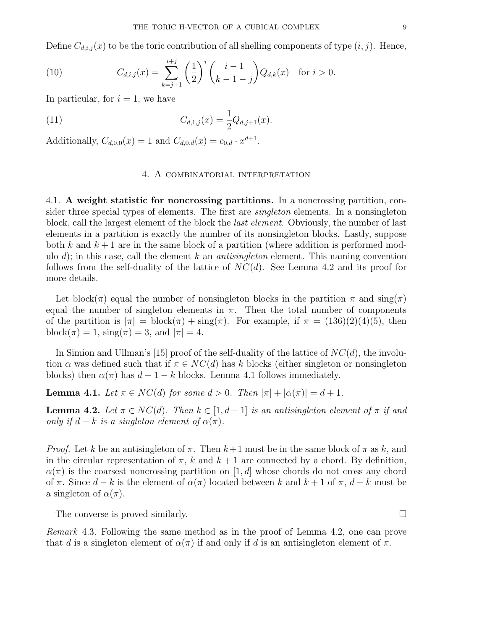Define  $C_{d,i,j}(x)$  to be the toric contribution of all shelling components of type  $(i, j)$ . Hence,

(10) 
$$
C_{d,i,j}(x) = \sum_{k=j+1}^{i+j} \left(\frac{1}{2}\right)^i \binom{i-1}{k-1-j} Q_{d,k}(x) \text{ for } i > 0.
$$

In particular, for  $i = 1$ , we have

(11) 
$$
C_{d,1,j}(x) = \frac{1}{2}Q_{d,j+1}(x).
$$

Additionally,  $C_{d,0,0}(x) = 1$  and  $C_{d,0,d}(x) = c_{0,d} \cdot x^{d+1}$ .

#### 4. A combinatorial interpretation

4.1. A weight statistic for noncrossing partitions. In a noncrossing partition, consider three special types of elements. The first are singleton elements. In a nonsingleton block, call the largest element of the block the last element. Obviously, the number of last elements in a partition is exactly the number of its nonsingleton blocks. Lastly, suppose both k and  $k+1$  are in the same block of a partition (where addition is performed modulo d); in this case, call the element k an *antisingleton* element. This naming convention follows from the self-duality of the lattice of  $NC(d)$ . See Lemma 4.2 and its proof for more details.

Let block( $\pi$ ) equal the number of nonsingleton blocks in the partition  $\pi$  and  $\sin(\pi)$ equal the number of singleton elements in  $\pi$ . Then the total number of components of the partition is  $|\pi| = \text{block}(\pi) + \text{sing}(\pi)$ . For example, if  $\pi = (136)(2)(4)(5)$ , then block( $\pi$ ) = 1, sing( $\pi$ ) = 3, and  $|\pi| = 4$ .

In Simion and Ullman's [15] proof of the self-duality of the lattice of  $NC(d)$ , the involution  $\alpha$  was defined such that if  $\pi \in NC(d)$  has k blocks (either singleton or nonsingleton blocks) then  $\alpha(\pi)$  has  $d+1-k$  blocks. Lemma 4.1 follows immediately.

**Lemma 4.1.** Let  $\pi \in NC(d)$  for some  $d > 0$ . Then  $|\pi| + |\alpha(\pi)| = d + 1$ .

**Lemma 4.2.** Let  $\pi \in NC(d)$ . Then  $k \in [1, d-1]$  is an antisingleton element of  $\pi$  if and only if  $d - k$  is a singleton element of  $\alpha(\pi)$ .

*Proof.* Let k be an antisingleton of  $\pi$ . Then  $k+1$  must be in the same block of  $\pi$  as k, and in the circular representation of  $\pi$ , k and  $k+1$  are connected by a chord. By definition,  $\alpha(\pi)$  is the coarsest noncrossing partition on [1, d] whose chords do not cross any chord of  $\pi$ . Since  $d - k$  is the element of  $\alpha(\pi)$  located between k and  $k + 1$  of  $\pi$ ,  $d - k$  must be a singleton of  $\alpha(\pi)$ .

The converse is proved similarly.  $\square$ 

Remark 4.3. Following the same method as in the proof of Lemma 4.2, one can prove that d is a singleton element of  $\alpha(\pi)$  if and only if d is an antisingleton element of  $\pi$ .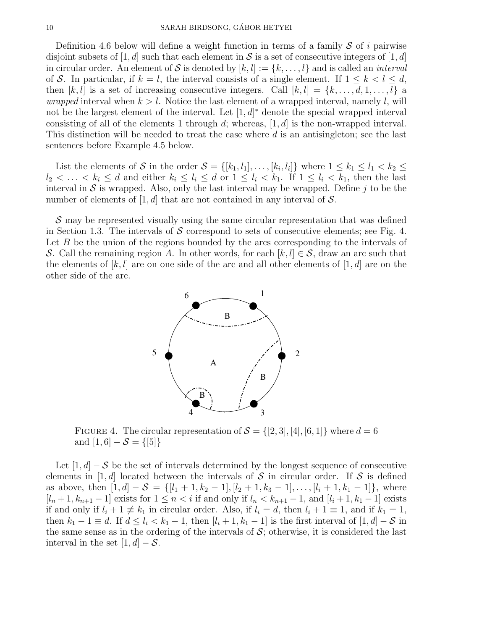Definition 4.6 below will define a weight function in terms of a family  $S$  of i pairwise disjoint subsets of [1, d] such that each element in S is a set of consecutive integers of [1, d] in circular order. An element of S is denoted by  $[k, l] := \{k, \ldots, l\}$  and is called an *interval* of S. In particular, if  $k = l$ , the interval consists of a single element. If  $1 \leq k < l \leq d$ , then  $[k, l]$  is a set of increasing consecutive integers. Call  $[k, l] = \{k, \ldots, d, 1, \ldots, l\}$  a *wrapped* interval when  $k > l$ . Notice the last element of a wrapped interval, namely l, will not be the largest element of the interval. Let  $[1, d]^*$  denote the special wrapped interval consisting of all of the elements 1 through d; whereas,  $[1, d]$  is the non-wrapped interval. This distinction will be needed to treat the case where d is an antisingleton; see the last sentences before Example 4.5 below.

List the elements of S in the order  $S = \{[k_1, l_1], \ldots, [k_i, l_i]\}\$  where  $1 \leq k_1 \leq l_1 < k_2 \leq$  $l_2 < \ldots < k_i \leq d$  and either  $k_i \leq l_i \leq d$  or  $1 \leq l_i < k_1$ . If  $1 \leq l_i < k_1$ , then the last interval in  $S$  is wrapped. Also, only the last interval may be wrapped. Define  $j$  to be the number of elements of  $[1, d]$  that are not contained in any interval of S.

S may be represented visually using the same circular representation that was defined in Section 1.3. The intervals of  $S$  correspond to sets of consecutive elements; see Fig. 4. Let  $B$  be the union of the regions bounded by the arcs corresponding to the intervals of S. Call the remaining region A. In other words, for each  $[k, l] \in S$ , draw an arc such that the elements of  $[k, l]$  are on one side of the arc and all other elements of  $[1, d]$  are on the other side of the arc.



FIGURE 4. The circular representation of  $S = \{[2,3], [4], [6,1]\}$  where  $d = 6$ and  $[1, 6] - S = \{ [5] \}$ 

Let  $[1, d]$  – S be the set of intervals determined by the longest sequence of consecutive elements in [1, d] located between the intervals of S in circular order. If S is defined as above, then  $[1, d] - S = \{[l_1 + 1, k_2 - 1], [l_2 + 1, k_3 - 1], \ldots, [l_i + 1, k_1 - 1]\},\$  where  $[l_n+1, k_{n+1}-1]$  exists for  $1 \leq n < i$  if and only if  $l_n < k_{n+1}-1$ , and  $[l_i+1, k_1-1]$  exists if and only if  $l_i + 1 \not\equiv k_1$  in circular order. Also, if  $l_i = d$ , then  $l_i + 1 \equiv 1$ , and if  $k_1 = 1$ , then  $k_1 - 1 \equiv d$ . If  $d \leq l_i < k_1 - 1$ , then  $[l_i + 1, k_1 - 1]$  is the first interval of  $[1, d] - S$  in the same sense as in the ordering of the intervals of  $S$ ; otherwise, it is considered the last interval in the set  $[1, d] - S$ .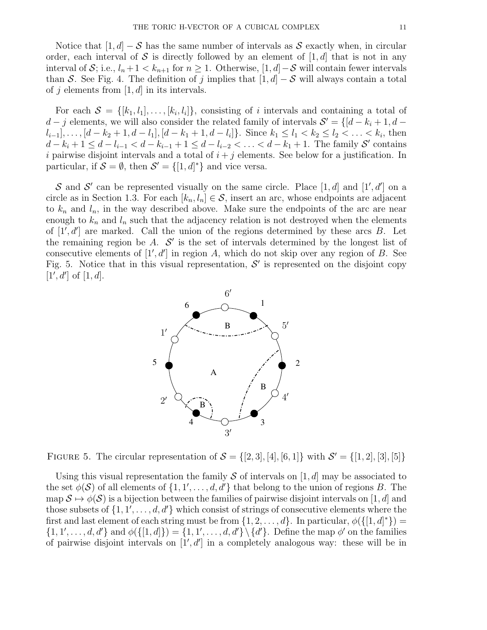Notice that  $[1, d] - S$  has the same number of intervals as S exactly when, in circular order, each interval of S is directly followed by an element of  $[1, d]$  that is not in any interval of S; i.e.,  $l_n + 1 < k_{n+1}$  for  $n \geq 1$ . Otherwise,  $[1, d]$  – S will contain fewer intervals than S. See Fig. 4. The definition of j implies that  $[1, d] - S$  will always contain a total of j elements from  $[1, d]$  in its intervals.

For each  $S = \{[k_1, l_1], \ldots, [k_i, l_i]\},\$ consisting of i intervals and containing a total of  $d - j$  elements, we will also consider the related family of intervals  $S' = \{[d - k_i + 1, d - j]$  $l_{i-1}], \ldots, [d - k_2 + 1, d - l_1], [d - k_1 + 1, d - l_i] \}$ . Since  $k_1 \leq l_1 < k_2 \leq l_2 < \ldots < k_i$ , then  $d - k_i + 1 \leq d - l_{i-1} < d - k_{i-1} + 1 \leq d - l_{i-2} < \ldots < d - k_1 + 1$ . The family  $\mathcal{S}'$  contains i pairwise disjoint intervals and a total of  $i + j$  elements. See below for a justification. In particular, if  $S = \emptyset$ , then  $S' = \{ [1, d]^* \}$  and vice versa.

S and S' can be represented visually on the same circle. Place [1, d] and [1', d'] on a circle as in Section 1.3. For each  $[k_n, l_n] \in \mathcal{S}$ , insert an arc, whose endpoints are adjacent to  $k_n$  and  $l_n$ , in the way described above. Make sure the endpoints of the arc are near enough to  $k_n$  and  $l_n$  such that the adjacency relation is not destroyed when the elements of  $[1', d']$  are marked. Call the union of the regions determined by these arcs  $B$ . Let the remaining region be  $A$ .  $S'$  is the set of intervals determined by the longest list of consecutive elements of  $[1', d']$  in region A, which do not skip over any region of B. See Fig. 5. Notice that in this visual representation,  $\mathcal{S}'$  is represented on the disjoint copy  $[1', d']$  of  $[1, d]$ .



FIGURE 5. The circular representation of  $S = \{[2,3], [4], [6,1]\}$  with  $S' = \{[1,2], [3], [5]\}$ 

Using this visual representation the family  $S$  of intervals on [1, d] may be associated to the set  $\phi(\mathcal{S})$  of all elements of  $\{1, 1', \ldots, d, d'\}$  that belong to the union of regions B. The map  $S \mapsto \phi(S)$  is a bijection between the families of pairwise disjoint intervals on [1, d] and those subsets of  $\{1, 1', \ldots, d, d'\}$  which consist of strings of consecutive elements where the first and last element of each string must be from  $\{1, 2, ..., d\}$ . In particular,  $\phi(\{[1, d]^*\})$  $\{1, 1', \ldots, d, d'\}$  and  $\phi(\{[1, d]\}) = \{1, 1', \ldots, d, d'\} \setminus \{d'\}.$  Define the map  $\phi'$  on the families of pairwise disjoint intervals on  $[1', d']$  in a completely analogous way: these will be in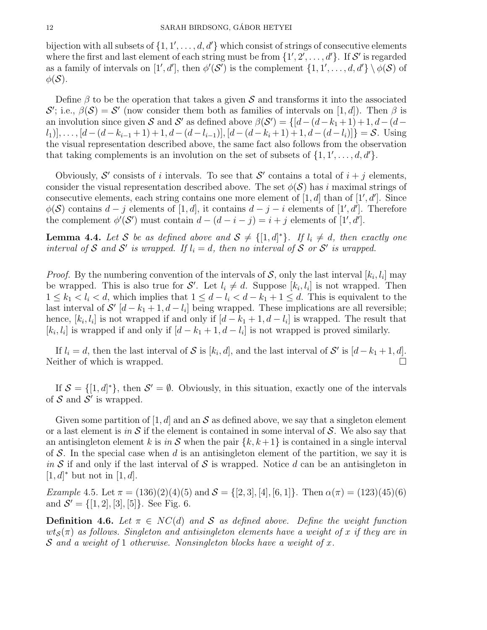bijection with all subsets of  $\{1, 1', \ldots, d, d'\}$  which consist of strings of consecutive elements where the first and last element of each string must be from  $\{1', 2', \ldots, d'\}$ . If S' is regarded as a family of intervals on  $[1', d']$ , then  $\phi'(\mathcal{S}')$  is the complement  $\{1, 1', \ldots, d, d'\} \setminus \phi(\mathcal{S})$  of  $\phi(\mathcal{S})$ .

Define  $\beta$  to be the operation that takes a given S and transforms it into the associated S'; i.e.,  $\beta(\mathcal{S}) = \mathcal{S}'$  (now consider them both as families of intervals on [1, d]). Then  $\beta$  is an involution since given S and S' as defined above  $\beta(\mathcal{S}') = \{[d - (d - k_1 + 1) + 1, d - (d - k_2)]\}$  $\{[a_1], \ldots, [d-(d-k_{i-1}+1)+1, d-(d-l_{i-1})], [d-(d-k_i+1)+1, d-(d-l_i)]\} = \mathcal{S}.$  Using the visual representation described above, the same fact also follows from the observation that taking complements is an involution on the set of subsets of  $\{1, 1', \ldots, d, d'\}.$ 

Obviously, S' consists of i intervals. To see that S' contains a total of  $i + j$  elements, consider the visual representation described above. The set  $\phi(\mathcal{S})$  has i maximal strings of consecutive elements, each string contains one more element of  $[1, d]$  than of  $[1', d']$ . Since  $\phi(\mathcal{S})$  contains  $d-j$  elements of  $[1, d]$ , it contains  $d-j-i$  elements of  $[1', d']$ . Therefore the complement  $\phi'(\mathcal{S}')$  must contain  $d - (d - i - j) = i + j$  elements of [1', d'].

**Lemma 4.4.** Let S be as defined above and  $S \neq \{[1, d]^* \}$ . If  $l_i \neq d$ , then exactly one interval of S and S' is wrapped. If  $l_i = d$ , then no interval of S or S' is wrapped.

*Proof.* By the numbering convention of the intervals of S, only the last interval  $[k_i, l_i]$  may be wrapped. This is also true for S'. Let  $l_i \neq d$ . Suppose  $[k_i, l_i]$  is not wrapped. Then  $1 \leq k_1 < l_i < d$ , which implies that  $1 \leq d - l_i < d - k_1 + 1 \leq d$ . This is equivalent to the last interval of  $\mathcal{S}'$  [d – k<sub>1</sub> + 1, d – l<sub>i</sub>] being wrapped. These implications are all reversible; hence,  $[k_i, l_i]$  is not wrapped if and only if  $[d - k_1 + 1, d - l_i]$  is wrapped. The result that  $[k_i, l_i]$  is wrapped if and only if  $[d - k_1 + 1, d - l_i]$  is not wrapped is proved similarly.

If  $l_i = d$ , then the last interval of S is  $[k_i, d]$ , and the last interval of S' is  $[d - k_1 + 1, d]$ . Neither of which is wrapped.

If  $S = \{[1, d]^*\}$ , then  $S' = \emptyset$ . Obviously, in this situation, exactly one of the intervals of  $S$  and  $S'$  is wrapped.

Given some partition of [1, d] and an  $S$  as defined above, we say that a singleton element or a last element is in S if the element is contained in some interval of S. We also say that an antisingleton element k is in S when the pair  $\{k, k+1\}$  is contained in a single interval of S. In the special case when d is an antisingleton element of the partition, we say it is in S if and only if the last interval of S is wrapped. Notice d can be an antisingleton in  $[1, d]^*$  but not in  $[1, d]$ .

Example 4.5. Let  $\pi = (136)(2)(4)(5)$  and  $\mathcal{S} = \{[2,3], [4], [6,1]\}$ . Then  $\alpha(\pi) = (123)(45)(6)$ and  $\mathcal{S}' = \{[1, 2], [3], [5]\}.$  See Fig. 6.

**Definition 4.6.** Let  $\pi \in NC(d)$  and S as defined above. Define the weight function  $wt_{\mathcal{S}}(\pi)$  as follows. Singleton and antisingleton elements have a weight of x if they are in S and a weight of 1 otherwise. Nonsingleton blocks have a weight of x.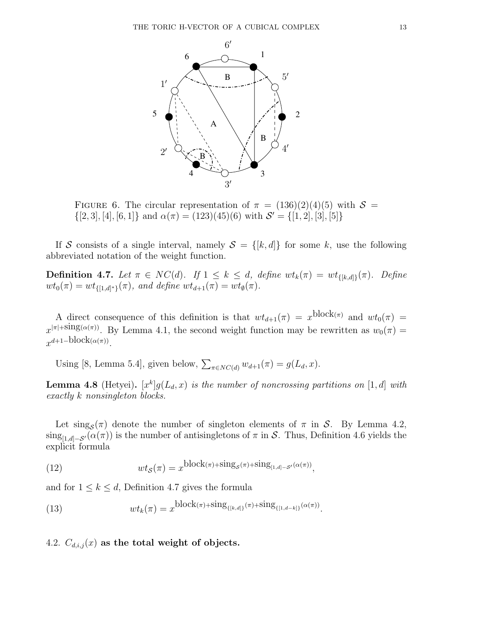

FIGURE 6. The circular representation of  $\pi = (136)(2)(4)(5)$  with  $S =$  $\{[2,3], [4], [6,1]\}$  and  $\alpha(\pi) = (123)(45)(6)$  with  $\mathcal{S}' = \{[1,2], [3], [5]\}$ 

If S consists of a single interval, namely  $S = \{[k, d]\}\$  for some k, use the following abbreviated notation of the weight function.

**Definition 4.7.** Let  $\pi \in NC(d)$ . If  $1 \leq k \leq d$ , define  $wt_k(\pi) = wt_{\{[k,d]\}}(\pi)$ . Define  $wt_0(\pi) = wt_{\{[1,d]^*\}}(\pi)$ , and define  $wt_{d+1}(\pi) = wt_{\emptyset}(\pi)$ .

A direct consequence of this definition is that  $wt_{d+1}(\pi) = x^{\text{block}(\pi)}$  and  $wt_0(\pi) =$  $x^{|\pi|+\text{sing}(\alpha(\pi))}$ . By Lemma 4.1, the second weight function may be rewritten as  $w_0(\pi)$  =  $x^{d+1-\text{block}(\alpha(\pi))}$ .

Using [8, Lemma 5.4], given below,  $\sum_{\pi \in NC(d)} w_{d+1}(\pi) = g(L_d, x)$ .

**Lemma 4.8** (Hetyei).  $[x^k]g(L_d, x)$  is the number of noncrossing partitions on  $[1, d]$  with exactly k nonsingleton blocks.

Let  $\text{sing}_{\mathcal{S}}(\pi)$  denote the number of singleton elements of  $\pi$  in  $\mathcal{S}$ . By Lemma 4.2,  $\text{sing}_{[1,d]-\mathcal{S}'}(\alpha(\pi))$  is the number of antisingletons of  $\pi$  in S. Thus, Definition 4.6 yields the explicit formula

(12) 
$$
wt_{\mathcal{S}}(\pi) = x^{\text{block}(\pi) + \text{sing}_{\mathcal{S}}(\pi) + \text{sing}_{[1,d]-\mathcal{S}'}(\alpha(\pi))},
$$

and for  $1 \leq k \leq d$ , Definition 4.7 gives the formula

(13) 
$$
wt_k(\pi) = x^{\text{block}(\pi) + \text{sing}_{\{[k,d]\}}(\pi) + \text{sing}_{\{[1,d-k]\}}(\alpha(\pi))}.
$$

4.2.  $C_{d,i,j}(x)$  as the total weight of objects.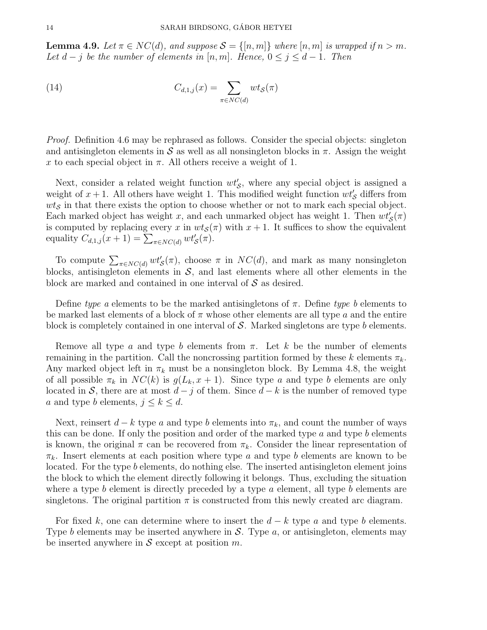**Lemma 4.9.** Let  $\pi \in NC(d)$ , and suppose  $\mathcal{S} = \{[n,m]\}$  where  $[n,m]$  is wrapped if  $n > m$ . Let  $d - j$  be the number of elements in [n, m]. Hence,  $0 \le j \le d - 1$ . Then

(14) 
$$
C_{d,1,j}(x) = \sum_{\pi \in NC(d)} wt_{\mathcal{S}}(\pi)
$$

Proof. Definition 4.6 may be rephrased as follows. Consider the special objects: singleton and antisingleton elements in S as well as all nonsingleton blocks in  $\pi$ . Assign the weight x to each special object in  $\pi$ . All others receive a weight of 1.

Next, consider a related weight function  $wt'_{\mathcal{S}}$ , where any special object is assigned a weight of  $x + 1$ . All others have weight 1. This modified weight function  $wt'_{\mathcal{S}}$  differs from  $w t<sub>S</sub>$  in that there exists the option to choose whether or not to mark each special object. Each marked object has weight x, and each unmarked object has weight 1. Then  $wt'_{\mathcal{S}}(\pi)$ is computed by replacing every x in  $wt<sub>S</sub>(\pi)$  with  $x + 1$ . It suffices to show the equivalent equality  $C_{d,1,j}(x+1) = \sum_{\pi \in NC(d)} wt'_{\mathcal{S}}(\pi)$ .

To compute  $\sum_{\pi \in NC(d)} wt'_{\mathcal{S}}(\pi)$ , choose  $\pi$  in  $NC(d)$ , and mark as many nonsingleton blocks, antisingleton elements in  $\mathcal{S}$ , and last elements where all other elements in the block are marked and contained in one interval of  $\mathcal S$  as desired.

Define type a elements to be the marked antisingletons of  $\pi$ . Define type b elements to be marked last elements of a block of  $\pi$  whose other elements are all type a and the entire block is completely contained in one interval of  $S$ . Marked singletons are type b elements.

Remove all type a and type b elements from  $\pi$ . Let k be the number of elements remaining in the partition. Call the noncrossing partition formed by these k elements  $\pi_k$ . Any marked object left in  $\pi_k$  must be a nonsingleton block. By Lemma 4.8, the weight of all possible  $\pi_k$  in  $NC(k)$  is  $g(L_k, x+1)$ . Since type a and type b elements are only located in S, there are at most  $d - j$  of them. Since  $d - k$  is the number of removed type a and type b elements,  $j \leq k \leq d$ .

Next, reinsert  $d - k$  type a and type b elements into  $\pi_k$ , and count the number of ways this can be done. If only the position and order of the marked type  $a$  and type  $b$  elements is known, the original  $\pi$  can be recovered from  $\pi_k$ . Consider the linear representation of  $\pi_k$ . Insert elements at each position where type a and type b elements are known to be located. For the type b elements, do nothing else. The inserted antisingleton element joins the block to which the element directly following it belongs. Thus, excluding the situation where a type b element is directly preceded by a type  $a$  element, all type b elements are singletons. The original partition  $\pi$  is constructed from this newly created arc diagram.

For fixed k, one can determine where to insert the  $d - k$  type a and type b elements. Type b elements may be inserted anywhere in  $S$ . Type  $a$ , or antisingleton, elements may be inserted anywhere in  $S$  except at position  $m$ .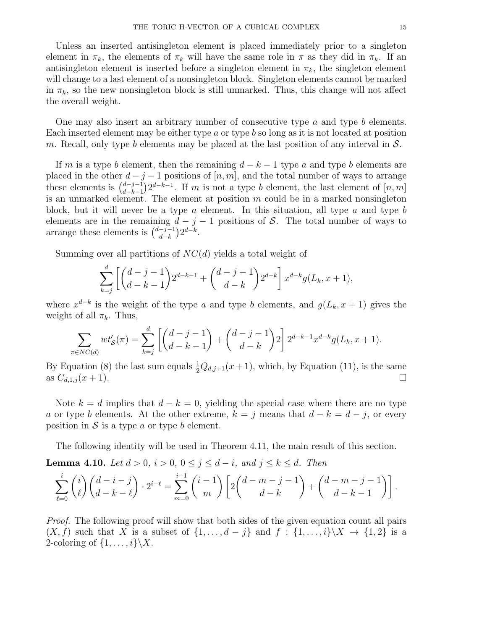Unless an inserted antisingleton element is placed immediately prior to a singleton element in  $\pi_k$ , the elements of  $\pi_k$  will have the same role in  $\pi$  as they did in  $\pi_k$ . If an antisingleton element is inserted before a singleton element in  $\pi_k$ , the singleton element will change to a last element of a nonsingleton block. Singleton elements cannot be marked in  $\pi_k$ , so the new nonsingleton block is still unmarked. Thus, this change will not affect the overall weight.

One may also insert an arbitrary number of consecutive type a and type b elements. Each inserted element may be either type  $a$  or type  $b$  so long as it is not located at position m. Recall, only type b elements may be placed at the last position of any interval in  $S$ .

If m is a type b element, then the remaining  $d - k - 1$  type a and type b elements are placed in the other  $d - j - 1$  positions of  $[n, m]$ , and the total number of ways to arrange these elements is  $\binom{d-j-1}{d-k-1}$  $\frac{d-j-1}{d-k-1}$  2<sup>d-k-1</sup>. If m is not a type b element, the last element of  $[n, m]$ is an unmarked element. The element at position  $m$  could be in a marked nonsingleton block, but it will never be a type a element. In this situation, all type a and type b elements are in the remaining  $d - j - 1$  positions of S. The total number of ways to arrange these elements is  $\binom{d-j-1}{d-k}$  $\frac{-j-1}{d-k}$  $2^{d-k}$ .

Summing over all partitions of  $NC(d)$  yields a total weight of

$$
\sum_{k=j}^{d} \left[ \binom{d-j-1}{d-k-1} 2^{d-k-1} + \binom{d-j-1}{d-k} 2^{d-k} \right] x^{d-k} g(L_k, x+1),
$$

where  $x^{d-k}$  is the weight of the type a and type b elements, and  $g(L_k, x+1)$  gives the weight of all  $\pi_k$ . Thus,

$$
\sum_{\pi \in NC(d)} wt'_{\mathcal{S}}(\pi) = \sum_{k=j}^{d} \left[ \binom{d-j-1}{d-k-1} + \binom{d-j-1}{d-k} 2 \right] 2^{d-k-1} x^{d-k} g(L_k, x+1).
$$

By Equation (8) the last sum equals  $\frac{1}{2}Q_{d,j+1}(x+1)$ , which, by Equation (11), is the same as  $C_{d,1,j}(x+1)$ .

Note  $k = d$  implies that  $d - k = 0$ , yielding the special case where there are no type a or type b elements. At the other extreme,  $k = j$  means that  $d - k = d - j$ , or every position in  $S$  is a type a or type b element.

The following identity will be used in Theorem 4.11, the main result of this section.

**Lemma 4.10.** Let  $d > 0$ ,  $i > 0$ ,  $0 \le j \le d - i$ , and  $j \le k \le d$ . Then

$$
\sum_{\ell=0}^{i} {i \choose \ell} {d-i-j \choose d-k-\ell} \cdot 2^{i-\ell} = \sum_{m=0}^{i-1} {i-1 \choose m} \left[ 2 {d-m-j-1 \choose d-k} + {d-m-j-1 \choose d-k-1} \right].
$$

Proof. The following proof will show that both sides of the given equation count all pairs  $(X, f)$  such that X is a subset of  $\{1, \ldots, d - j\}$  and  $f : \{1, \ldots, i\} \backslash X \rightarrow \{1, 2\}$  is a 2-coloring of  $\{1, \ldots, i\}\backslash X$ .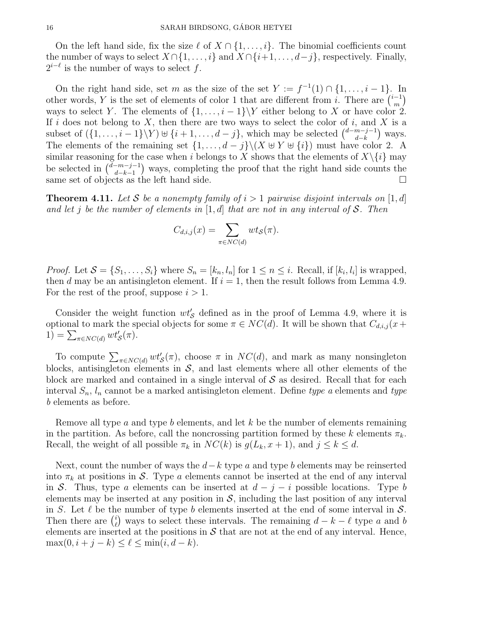On the left hand side, fix the size  $\ell$  of  $X \cap \{1, \ldots, i\}$ . The binomial coefficients count the number of ways to select  $X \cap \{1, \ldots, i\}$  and  $X \cap \{i+1, \ldots, d-j\}$ , respectively. Finally,  $2^{i-\ell}$  is the number of ways to select f.

On the right hand side, set m as the size of the set  $Y := f^{-1}(1) \cap \{1, \ldots, i-1\}$ . In other words, Y is the set of elements of color 1 that are different from i. There are  $\binom{i-1}{m}$  $\binom{-1}{m}$ ways to select Y. The elements of  $\{1, \ldots, i-1\}$  either belong to X or have color 2. If i does not belong to X, then there are two ways to select the color of i, and X is a subset of  $(\{1,\ldots,i-1\}\backslash Y)\cup \{i+1,\ldots,d-j\}$ , which may be selected  $\binom{d-m-j-1}{d-k}$  $\binom{m-j-1}{d-k}$  ways. The elements of the remaining set  $\{1, \ldots, d-j\} \setminus (X \cup Y \cup \{i\})$  must have color 2. A similar reasoning for the case when i belongs to X shows that the elements of  $X\setminus\{i\}$  may be selected in  $\binom{d-m-j-1}{d-k-1}$  $\binom{-m-j-1}{d-k-1}$  ways, completing the proof that the right hand side counts the same set of objects as the left hand side.

**Theorem 4.11.** Let S be a nonempty family of  $i > 1$  pairwise disjoint intervals on [1, d] and let j be the number of elements in  $[1, d]$  that are not in any interval of S. Then

$$
C_{d,i,j}(x) = \sum_{\pi \in NC(d)} wt_{\mathcal{S}}(\pi).
$$

*Proof.* Let  $S = \{S_1, \ldots, S_i\}$  where  $S_n = [k_n, l_n]$  for  $1 \leq n \leq i$ . Recall, if  $[k_i, l_i]$  is wrapped, then d may be an antisingleton element. If  $i = 1$ , then the result follows from Lemma 4.9. For the rest of the proof, suppose  $i > 1$ .

Consider the weight function  $wt'_{\mathcal{S}}$  defined as in the proof of Lemma 4.9, where it is optional to mark the special objects for some  $\pi \in NC(d)$ . It will be shown that  $C_{d,i,j}(x+)$  $1) = \sum_{\pi \in NC(d)} wt'_{\mathcal{S}}(\pi).$ 

To compute  $\sum_{\pi \in NC(d)} wt'_{\mathcal{S}}(\pi)$ , choose  $\pi$  in  $NC(d)$ , and mark as many nonsingleton blocks, antisingleton elements in  $S$ , and last elements where all other elements of the block are marked and contained in a single interval of  $S$  as desired. Recall that for each interval  $S_n$ ,  $l_n$  cannot be a marked antisingleton element. Define type a elements and type b elements as before.

Remove all type  $a$  and type  $b$  elements, and let  $k$  be the number of elements remaining in the partition. As before, call the noncrossing partition formed by these k elements  $\pi_k$ . Recall, the weight of all possible  $\pi_k$  in  $NC(k)$  is  $g(L_k, x+1)$ , and  $j \leq k \leq d$ .

Next, count the number of ways the  $d-k$  type a and type b elements may be reinserted into  $\pi_k$  at positions in S. Type a elements cannot be inserted at the end of any interval in S. Thus, type a elements can be inserted at  $d - j - i$  possible locations. Type b elements may be inserted at any position in  $S$ , including the last position of any interval in S. Let  $\ell$  be the number of type b elements inserted at the end of some interval in  $\mathcal{S}$ . Then there are  $\binom{i}{k}$  $\ell$  ways to select these intervals. The remaining  $d - k - \ell$  type a and b elements are inserted at the positions in  $\mathcal S$  that are not at the end of any interval. Hence,  $\max(0, i + j - k) \leq \ell \leq \min(i, d - k).$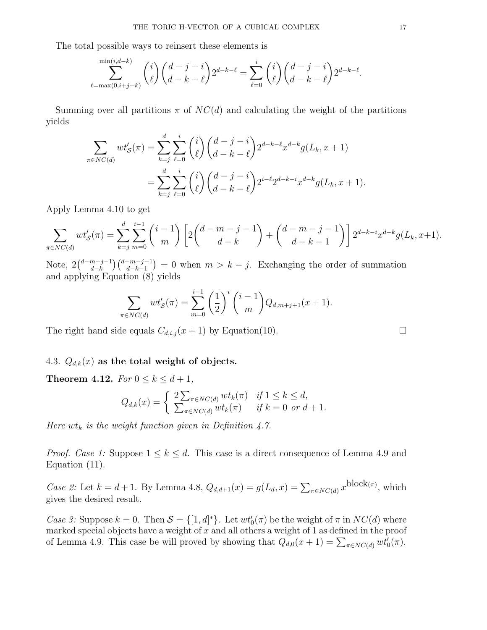The total possible ways to reinsert these elements is

$$
\sum_{\ell=\max(0,i+j-k)}^{\min(i,d-k)} \binom{i}{\ell} \binom{d-j-i}{d-k-\ell} 2^{d-k-\ell} = \sum_{\ell=0}^i \binom{i}{\ell} \binom{d-j-i}{d-k-\ell} 2^{d-k-\ell}.
$$

Summing over all partitions  $\pi$  of  $NC(d)$  and calculating the weight of the partitions yields

$$
\sum_{\pi \in NC(d)} wt'_{\mathcal{S}}(\pi) = \sum_{k=j}^{d} \sum_{\ell=0}^{i} {i \choose \ell} {d-j-i \choose d-k-\ell} 2^{d-k-\ell} x^{d-k} g(L_k, x+1)
$$

$$
= \sum_{k=j}^{d} \sum_{\ell=0}^{i} {i \choose \ell} {d-j-i \choose d-k-\ell} 2^{i-\ell} 2^{d-k-i} x^{d-k} g(L_k, x+1).
$$

Apply Lemma 4.10 to get

$$
\sum_{\pi \in NC(d)} wt'_{\mathcal{S}}(\pi) = \sum_{k=j}^{d} \sum_{m=0}^{i-1} {i-1 \choose m} \left[ 2 {d-m-j-1 \choose d-k} + {d-m-j-1 \choose d-k-1} \right] 2^{d-k-i} x^{d-k} g(L_k, x+1).
$$

Note,  $2\binom{d-m-j-1}{d-k}$  $\binom{m-j-1}{d-k}$  $\binom{d-m-j-1}{d-k-1}$  = 0 when  $m > k - j$ . Exchanging the order of summation and applying Equation (8) yields

$$
\sum_{\pi \in NC(d)} wt'_{\mathcal{S}}(\pi) = \sum_{m=0}^{i-1} \left(\frac{1}{2}\right)^i \binom{i-1}{m} Q_{d,m+j+1}(x+1).
$$

The right hand side equals  $C_{d,i,j}(x+1)$  by Equation(10).

# 4.3.  $Q_{d,k}(x)$  as the total weight of objects.

Theorem 4.12. For  $0 \le k \le d+1$ ,

$$
Q_{d,k}(x) = \begin{cases} 2\sum_{\pi \in NC(d)} wt_k(\pi) & \text{if } 1 \le k \le d, \\ \sum_{\pi \in NC(d)} wt_k(\pi) & \text{if } k = 0 \text{ or } d+1. \end{cases}
$$

Here  $wt_k$  is the weight function given in Definition 4.7.

*Proof. Case 1:* Suppose  $1 \leq k \leq d$ . This case is a direct consequence of Lemma 4.9 and Equation (11).

*Case 2:* Let  $k = d + 1$ . By Lemma 4.8,  $Q_{d,d+1}(x) = g(L_d, x) = \sum_{\pi \in NC(d)} x^{\text{block}(\pi)}$ , which gives the desired result.

Case 3: Suppose  $k = 0$ . Then  $S = \{ [1, d]^* \}$ . Let  $wt'_0(\pi)$  be the weight of  $\pi$  in  $NC(d)$  where marked special objects have a weight of  $x$  and all others a weight of 1 as defined in the proof of Lemma 4.9. This case be will proved by showing that  $Q_{d,0}(x+1) = \sum_{\pi \in NC(d)} wt'_0(\pi)$ .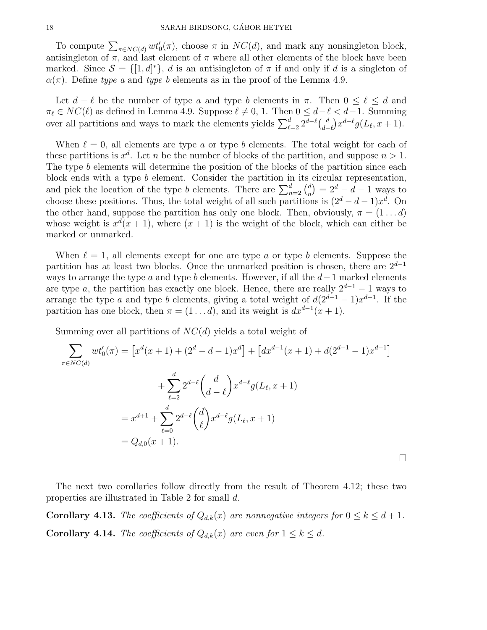To compute  $\sum_{\pi \in NC(d)} wt'_0(\pi)$ , choose  $\pi$  in  $NC(d)$ , and mark any nonsingleton block, antisingleton of  $\pi$ , and last element of  $\pi$  where all other elements of the block have been marked. Since  $S = \{ [1, d]^* \}, d$  is an antisingleton of  $\pi$  if and only if d is a singleton of  $\alpha(\pi)$ . Define type a and type b elements as in the proof of the Lemma 4.9.

Let  $d - \ell$  be the number of type a and type b elements in  $\pi$ . Then  $0 \leq \ell \leq d$  and  $\pi_\ell \in NC(\ell)$  as defined in Lemma 4.9. Suppose  $\ell \neq 0, 1$ . Then  $0 \leq d-\ell < d-1$ . Summing over all partitions and ways to mark the elements yields  $\sum_{\ell=2}^d 2^{d-\ell} {d \choose d-1}$  $\binom{d}{d-\ell} x^{d-\ell} g(L_\ell, x+1).$ 

When  $\ell = 0$ , all elements are type a or type b elements. The total weight for each of these partitions is  $x^d$ . Let n be the number of blocks of the partition, and suppose  $n > 1$ . The type b elements will determine the position of the blocks of the partition since each block ends with a type b element. Consider the partition in its circular representation, and pick the location of the type *b* elements. There are  $\sum_{n=2}^{d} \binom{d}{n}$  $\binom{d}{n} = 2^d - d - 1$  ways to choose these positions. Thus, the total weight of all such partitions is  $(2^d - d - 1)x^d$ . On the other hand, suppose the partition has only one block. Then, obviously,  $\pi = (1 \dots d)$ whose weight is  $x^d(x+1)$ , where  $(x+1)$  is the weight of the block, which can either be marked or unmarked.

When  $\ell = 1$ , all elements except for one are type a or type b elements. Suppose the partition has at least two blocks. Once the unmarked position is chosen, there are  $2^{d-1}$ ways to arrange the type  $a$  and type  $b$  elements. However, if all the  $d-1$  marked elements are type a, the partition has exactly one block. Hence, there are really  $2^{d-1} - 1$  ways to arrange the type a and type b elements, giving a total weight of  $d(2^{d-1}-1)x^{d-1}$ . If the partition has one block, then  $\pi = (1 \dots d)$ , and its weight is  $dx^{d-1}(x+1)$ .

Summing over all partitions of  $NC(d)$  yields a total weight of

$$
\sum_{\pi \in NC(d)} wt'_0(\pi) = \left[ x^d(x+1) + (2^d - d - 1)x^d \right] + \left[ dx^{d-1}(x+1) + d(2^{d-1} - 1)x^{d-1} \right]
$$

$$
+ \sum_{\ell=2}^d 2^{d-\ell} \binom{d}{d-\ell} x^{d-\ell} g(L_\ell, x+1)
$$

$$
= x^{d+1} + \sum_{\ell=0}^d 2^{d-\ell} \binom{d}{\ell} x^{d-\ell} g(L_\ell, x+1)
$$

$$
= Q_{d,0}(x+1).
$$

The next two corollaries follow directly from the result of Theorem 4.12; these two properties are illustrated in Table 2 for small d.

**Corollary 4.13.** The coefficients of  $Q_{d,k}(x)$  are nonnegative integers for  $0 \leq k \leq d+1$ . **Corollary 4.14.** The coefficients of  $Q_{d,k}(x)$  are even for  $1 \leq k \leq d$ .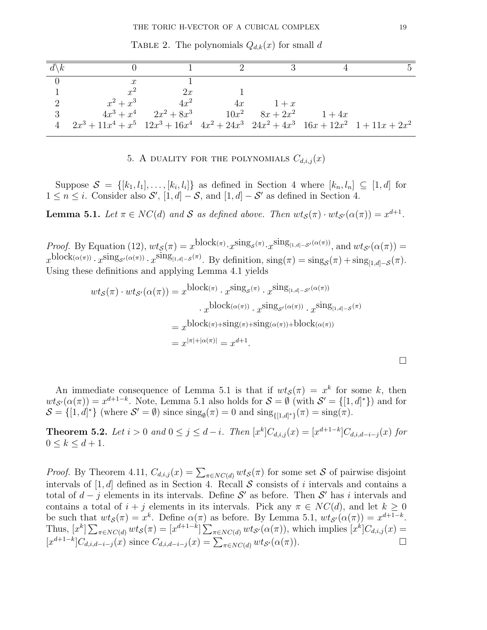| $d\backslash k$ |                                                                                                   |                                                         |    |       |  |
|-----------------|---------------------------------------------------------------------------------------------------|---------------------------------------------------------|----|-------|--|
|                 | $\boldsymbol{x}$                                                                                  |                                                         |    |       |  |
|                 | $x^2$                                                                                             | 2x                                                      |    |       |  |
| 2               | $x^2 + x^3$                                                                                       | $4x^2$                                                  | 4x | $1+x$ |  |
| 3               |                                                                                                   | $4x^3 + x^4$ $2x^2 + 8x^3$ $10x^2$ $8x + 2x^2$ $1 + 4x$ |    |       |  |
|                 | $2x^3 + 11x^4 + x^5$ $12x^3 + 16x^4$ $4x^2 + 24x^3$ $24x^2 + 4x^3$ $16x + 12x^2$ $1 + 11x + 2x^2$ |                                                         |    |       |  |

TABLE 2. The polynomials  $Q_{d,k}(x)$  for small d

5. A DUALITY FOR THE POLYNOMIALS  $C_{d,i,j}(x)$ 

Suppose  $S = \{[k_1, l_1], \ldots, [k_i, l_i]\}\$ as defined in Section 4 where  $[k_n, l_n] \subseteq [1, d]$  for  $1 \leq n \leq i$ . Consider also  $\mathcal{S}'$ ,  $[1, d] - \mathcal{S}$ , and  $[1, d] - \mathcal{S}'$  as defined in Section 4.

**Lemma 5.1.** Let  $\pi \in NC(d)$  and S as defined above. Then  $wt_{\mathcal{S}}(\pi) \cdot wt_{\mathcal{S}'}(\alpha(\pi)) = x^{d+1}$ .

Proof. By Equation (12),  $wt_{\mathcal{S}}(\pi) = x^{\text{block}(\pi)} \cdot x^{\text{sing}_{\mathcal{S}}(\pi)} \cdot x^{\text{sing}_{[1,d]-\mathcal{S}'}(\alpha(\pi))}$ , and  $wt_{\mathcal{S}'}(\alpha(\pi)) =$  $x^{\text{block}(\alpha(\pi))} \cdot x^{\text{sing}_{\mathcal{S}'}(\alpha(\pi))} \cdot x^{\text{sing}_{[1,d]-\mathcal{S}}(\pi)}$ . By definition,  $\text{sing}(\pi) = \text{sing}_{\mathcal{S}}(\pi) + \text{sing}_{[1,d]-\mathcal{S}}(\pi)$ . Using these definitions and applying Lemma 4.1 yields

$$
wt_{\mathcal{S}}(\pi) \cdot wt_{\mathcal{S}'}(\alpha(\pi)) = x^{\text{block}(\pi)} \cdot x^{\text{sing}_{\mathcal{S}}(\pi)} \cdot x^{\text{sing}_{[1,d]-\mathcal{S}'}(\alpha(\pi))}
$$

$$
\cdot x^{\text{block}(\alpha(\pi))} \cdot x^{\text{sing}_{\mathcal{S}'}(\alpha(\pi))} \cdot x^{\text{sing}_{[1,d]-\mathcal{S}}(\pi)}
$$

$$
= x^{\text{block}(\pi) + \text{sing}(\pi) + \text{sing}(\alpha(\pi)) + \text{block}(\alpha(\pi))}
$$

$$
= x^{|\pi| + |\alpha(\pi)|} = x^{d+1}.
$$

An immediate consequence of Lemma 5.1 is that if  $wt_{\mathcal{S}}(\pi) = x^k$  for some k, then  $wt_{\mathcal{S}'}(\alpha(\pi)) = x^{d+1-k}$ . Note, Lemma 5.1 also holds for  $\mathcal{S} = \emptyset$  (with  $\mathcal{S}' = \{[1, d]^*\}$ ) and for  $\mathcal{S} = \{ [1, d]^* \}$  (where  $\mathcal{S}' = \emptyset$ ) since  $\text{sing}_{\emptyset}(\pi) = 0$  and  $\text{sing}_{\{ [1, d]^* \}}(\pi) = \text{sing}(\pi)$ .

**Theorem 5.2.** Let  $i > 0$  and  $0 \le j \le d - i$ . Then  $[x^k]C_{d,i,j}(x) = [x^{d+1-k}]C_{d,i,d-i-j}(x)$  for  $0\leq k\leq d+1$ .

*Proof.* By Theorem 4.11,  $C_{d,i,j}(x) = \sum_{\pi \in NC(d)} wt_{\mathcal{S}}(\pi)$  for some set S of pairwise disjoint intervals of  $[1, d]$  defined as in Section 4. Recall S consists of i intervals and contains a total of  $d - j$  elements in its intervals. Define S' as before. Then S' has i intervals and contains a total of  $i + j$  elements in its intervals. Pick any  $\pi \in NC(d)$ , and let  $k \geq 0$ be such that  $wt_{\mathcal{S}}(\pi) = x^k$ . Define  $\alpha(\pi)$  as before. By Lemma 5.1,  $wt_{\mathcal{S}'}(\alpha(\pi)) = x^{d+1-k}$ . Thus,  $[x^k] \sum_{\pi \in NC(d)} wt_{\mathcal{S}}(\pi) = [x^{d+1-k}] \sum_{\pi \in NC(d)} wt_{\mathcal{S}'}(\alpha(\pi))$ , which implies  $[x^k]C_{d,i,j}(x) =$  $[x^{d+1-k}]C_{d,i,d-i-j}(x)$  since  $C_{d,i,d-i-j}(x) = \sum_{\pi \in NC(d)} wt_{S'}(\alpha(\pi)).$ 

 $\Box$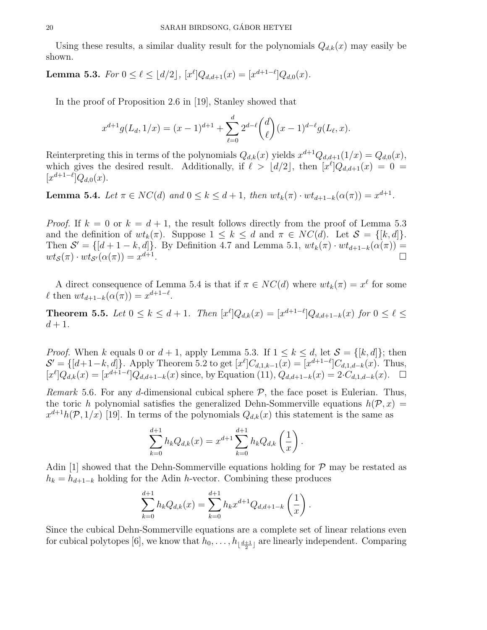Using these results, a similar duality result for the polynomials  $Q_{d,k}(x)$  may easily be shown.

**Lemma 5.3.** For  $0 \le \ell \le \lfloor d/2 \rfloor$ ,  $[x^{\ell}]Q_{d,d+1}(x) = [x^{d+1-\ell}]Q_{d,0}(x)$ .

In the proof of Proposition 2.6 in [19], Stanley showed that

$$
x^{d+1}g(L_d, 1/x) = (x-1)^{d+1} + \sum_{\ell=0}^d 2^{d-\ell} \binom{d}{\ell} (x-1)^{d-\ell} g(L_\ell, x).
$$

Reinterpreting this in terms of the polynomials  $Q_{d,k}(x)$  yields  $x^{d+1}Q_{d,d+1}(1/x) = Q_{d,0}(x)$ , which gives the desired result. Additionally, if  $\ell > \lfloor d/2 \rfloor$ , then  $[x^{\ell}]Q_{d,d+1}(x) = 0$  $[x^{d+1-\ell}]Q_{d,0}(x).$ 

**Lemma 5.4.** Let  $\pi \in NC(d)$  and  $0 \leq k \leq d+1$ , then  $wt_k(\pi) \cdot wt_{d+1-k}(\alpha(\pi)) = x^{d+1}$ .

*Proof.* If  $k = 0$  or  $k = d + 1$ , the result follows directly from the proof of Lemma 5.3 and the definition of  $wt_k(\pi)$ . Suppose  $1 \leq k \leq d$  and  $\pi \in NC(d)$ . Let  $S = \{[k, d]\}.$ Then  $S' = \{[d+1-k, d]\}$ . By Definition 4.7 and Lemma 5.1,  $wt_k(\pi) \cdot wt_{d+1-k}(\alpha(\pi)) =$  $wt_{\mathcal{S}}(\pi) \cdot wt_{\mathcal{S}'}(\alpha(\pi)) = x^{d+1}$ .

A direct consequence of Lemma 5.4 is that if  $\pi \in NC(d)$  where  $wt_k(\pi) = x^{\ell}$  for some  $\ell$  then  $wt_{d+1-k}(\alpha(\pi)) = x^{d+1-\ell}$ .

**Theorem 5.5.** Let  $0 \le k \le d+1$ . Then  $[x^{\ell}]Q_{d,k}(x) = [x^{d+1-\ell}]Q_{d,d+1-k}(x)$  for  $0 \le \ell \le d+1$ .  $d+1$ .

*Proof.* When k equals 0 or  $d + 1$ , apply Lemma 5.3. If  $1 \leq k \leq d$ , let  $S = \{[k, d]\}$ ; then  $\mathcal{S}' = \{ [d+1-k, d] \}.$  Apply Theorem 5.2 to get  $[x^{\ell}] C_{d,1,k-1}(x) = [x^{d+1-\ell}] C_{d,1,d-k}(x).$  Thus,  $[x^{\ell}]Q_{d,k}(x) = [x^{d+1-\ell}]Q_{d,d+1-k}(x)$  since, by Equation (11),  $Q_{d,d+1-k}(x) = 2 \cdot C_{d,1,d-k}(x)$ .  $\Box$ 

*Remark* 5.6. For any d-dimensional cubical sphere  $P$ , the face poset is Eulerian. Thus, the toric h polynomial satisfies the generalized Dehn-Sommerville equations  $h(\mathcal{P}, x) =$  $x^{d+1}h(\mathcal{P},1/x)$  [19]. In terms of the polynomials  $Q_{d,k}(x)$  this statement is the same as

$$
\sum_{k=0}^{d+1} h_k Q_{d,k}(x) = x^{d+1} \sum_{k=0}^{d+1} h_k Q_{d,k} \left(\frac{1}{x}\right).
$$

Adin [1] showed that the Dehn-Sommerville equations holding for  $P$  may be restated as  $h_k = h_{d+1-k}$  holding for the Adin h-vector. Combining these produces

$$
\sum_{k=0}^{d+1} h_k Q_{d,k}(x) = \sum_{k=0}^{d+1} h_k x^{d+1} Q_{d,d+1-k} \left(\frac{1}{x}\right).
$$

Since the cubical Dehn-Sommerville equations are a complete set of linear relations even for cubical polytopes [6], we know that  $h_0, \ldots, h_{\lfloor \frac{d+1}{2} \rfloor}$  are linearly independent. Comparing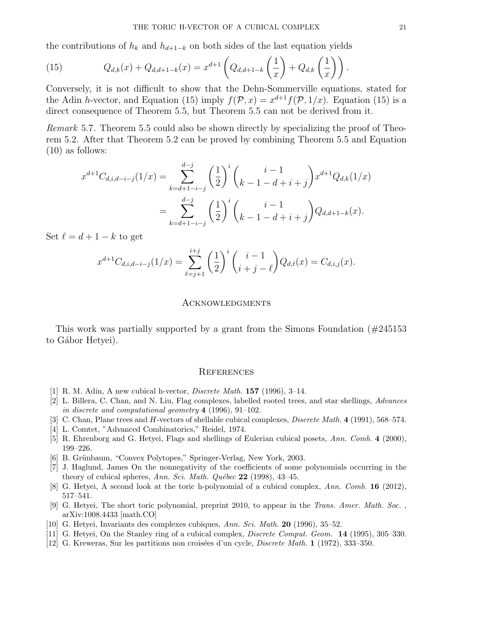the contributions of  $h_k$  and  $h_{d+1-k}$  on both sides of the last equation yields

(15) 
$$
Q_{d,k}(x) + Q_{d,d+1-k}(x) = x^{d+1} \left( Q_{d,d+1-k} \left( \frac{1}{x} \right) + Q_{d,k} \left( \frac{1}{x} \right) \right).
$$

Conversely, it is not difficult to show that the Dehn-Sommerville equations, stated for the Adin h-vector, and Equation (15) imply  $f(\mathcal{P}, x) = x^{d+1} f(\mathcal{P}, 1/x)$ . Equation (15) is a direct consequence of Theorem 5.5, but Theorem 5.5 can not be derived from it.

Remark 5.7. Theorem 5.5 could also be shown directly by specializing the proof of Theorem 5.2. After that Theorem 5.2 can be proved by combining Theorem 5.5 and Equation (10) as follows:

$$
x^{d+1}C_{d,i,d-i-j}(1/x) = \sum_{k=d+1-i-j}^{d-j} \left(\frac{1}{2}\right)^i \binom{i-1}{k-1-d+i+j} x^{d+1} Q_{d,k}(1/x)
$$
  
= 
$$
\sum_{k=d+1-i-j}^{d-j} \left(\frac{1}{2}\right)^i \binom{i-1}{k-1-d+i+j} Q_{d,d+1-k}(x).
$$

Set  $\ell = d + 1 - k$  to get

$$
x^{d+1}C_{d,i,d-i-j}(1/x) = \sum_{\ell=j+1}^{i+j} \left(\frac{1}{2}\right)^i \binom{i-1}{i+j-\ell} Q_{d,\ell}(x) = C_{d,i,j}(x).
$$

#### Acknowledgments

This work was partially supported by a grant from the Simons Foundation (#245153 to Gábor Hetyei).

#### **REFERENCES**

- [1] R. M. Adin, A new cubical h-vector, Discrete Math. 157 (1996), 3–14.
- [2] L. Billera, C. Chan, and N. Liu, Flag complexes, labelled rooted trees, and star shellings, Advances in discrete and computational geometry 4 (1996), 91–102.
- [3] C. Chan, Plane trees and H-vectors of shellable cubical complexes, *Discrete Math.* 4 (1991), 568–574.
- [4] L. Comtet, "Advanced Combinatorics," Reidel, 1974.
- [5] R. Ehrenborg and G. Hetyei, Flags and shellings of Eulerian cubical posets, Ann. Comb. 4 (2000), 199–226.
- [6] B. Grünbaum, "Convex Polytopes," Springer-Verlag, New York, 2003.
- [7] J. Haglund, James On the nonnegativity of the coefficients of some polynomials occurring in the theory of cubical spheres, Ann. Sci. Math. Québec  $22$  (1998), 43-45.
- [8] G. Hetyei, A second look at the toric h-polynomial of a cubical complex, Ann. Comb. 16 (2012), 517–541.
- [9] G. Hetyei, The short toric polynomial, preprint 2010, to appear in the Trans. Amer. Math. Soc. , arXiv:1008.4433 [math.CO]
- [10] G. Hetyei, Invariants des complexes cubiques, Ann. Sci. Math. 20 (1996), 35–52.
- [11] G. Hetyei, On the Stanley ring of a cubical complex, *Discrete Comput. Geom.* **14** (1995), 305–330.
- [12] G. Kreweras, Sur les partitions non croisées d'un cycle, *Discrete Math.* 1 (1972), 333–350.